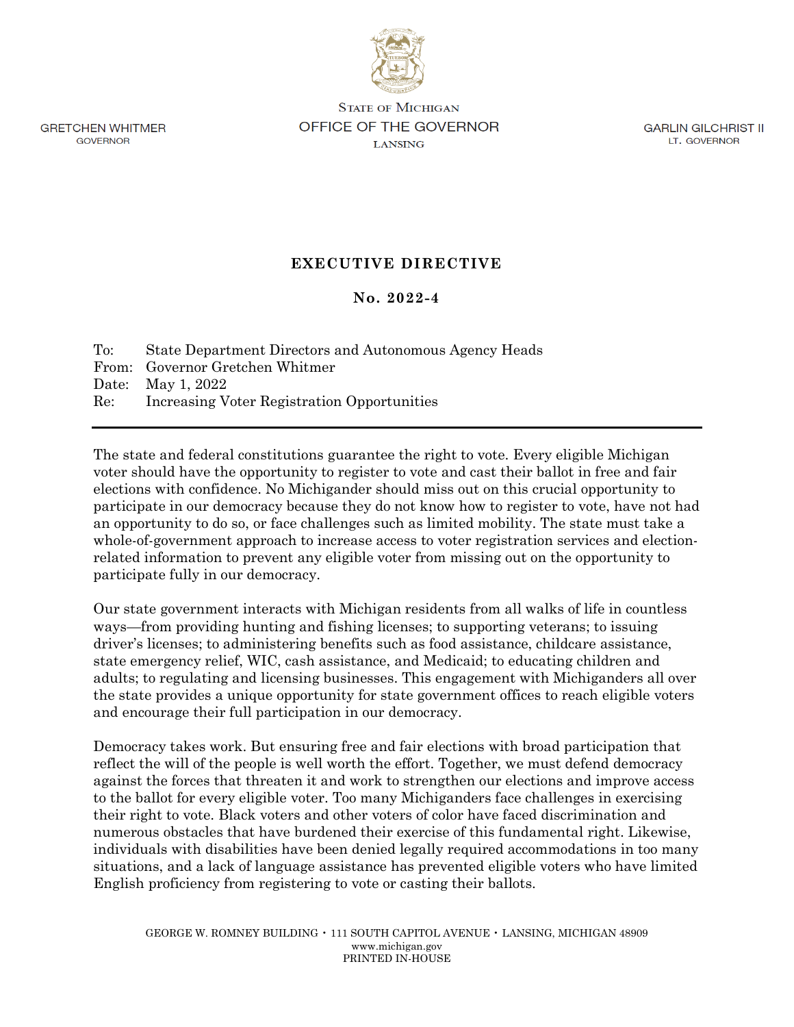

**GRETCHEN WHITMER GOVERNOR** 

**STATE OF MICHIGAN** OFFICE OF THE GOVERNOR **LANSING** 

**GARLIN GILCHRIST II** LT. GOVERNOR

## **EXECUTIVE DIRECTIVE**

## **No. 2022-4**

To: State Department Directors and Autonomous Agency Heads From: Governor Gretchen Whitmer Date: May 1, 2022 Re: Increasing Voter Registration Opportunities

The state and federal constitutions guarantee the right to vote. Every eligible Michigan voter should have the opportunity to register to vote and cast their ballot in free and fair elections with confidence. No Michigander should miss out on this crucial opportunity to participate in our democracy because they do not know how to register to vote, have not had an opportunity to do so, or face challenges such as limited mobility. The state must take a whole-of-government approach to increase access to voter registration services and electionrelated information to prevent any eligible voter from missing out on the opportunity to participate fully in our democracy.

Our state government interacts with Michigan residents from all walks of life in countless ways—from providing hunting and fishing licenses; to supporting veterans; to issuing driver's licenses; to administering benefits such as food assistance, childcare assistance, state emergency relief, WIC, cash assistance, and Medicaid; to educating children and adults; to regulating and licensing businesses. This engagement with Michiganders all over the state provides a unique opportunity for state government offices to reach eligible voters and encourage their full participation in our democracy.

Democracy takes work. But ensuring free and fair elections with broad participation that reflect the will of the people is well worth the effort. Together, we must defend democracy against the forces that threaten it and work to strengthen our elections and improve access to the ballot for every eligible voter. Too many Michiganders face challenges in exercising their right to vote. Black voters and other voters of color have faced discrimination and numerous obstacles that have burdened their exercise of this fundamental right. Likewise, individuals with disabilities have been denied legally required accommodations in too many situations, and a lack of language assistance has prevented eligible voters who have limited English proficiency from registering to vote or casting their ballots.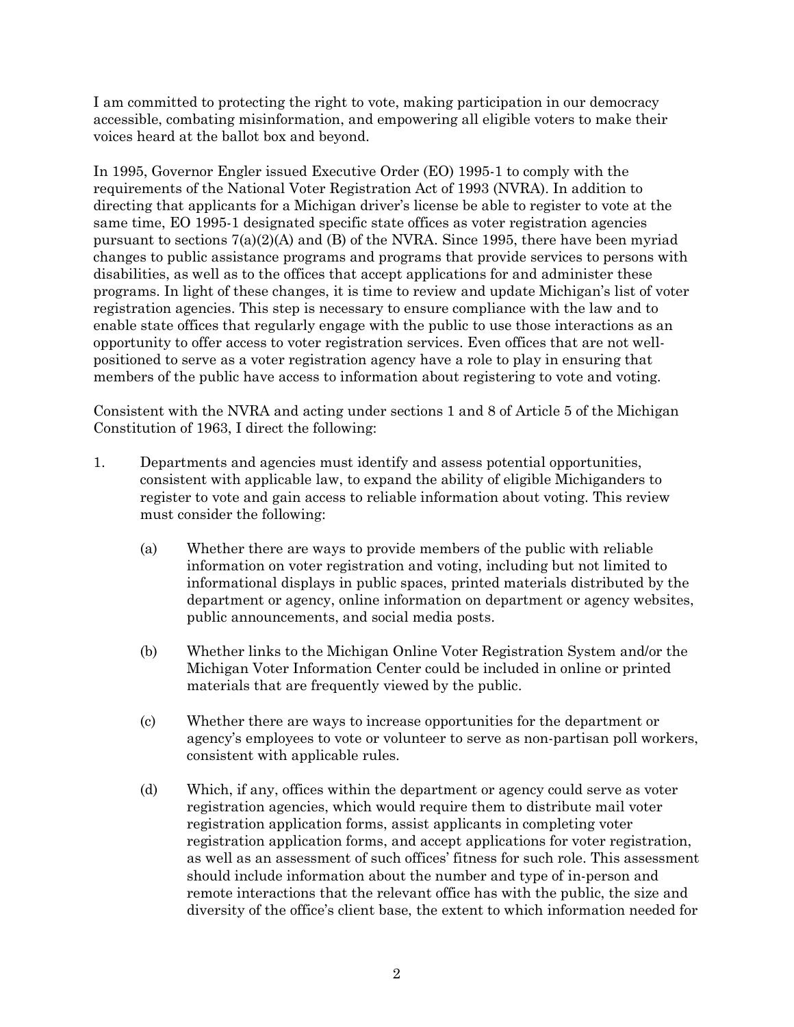I am committed to protecting the right to vote, making participation in our democracy accessible, combating misinformation, and empowering all eligible voters to make their voices heard at the ballot box and beyond.

In 1995, Governor Engler issued Executive Order (EO) 1995-1 to comply with the requirements of the National Voter Registration Act of 1993 (NVRA). In addition to directing that applicants for a Michigan driver's license be able to register to vote at the same time, EO 1995-1 designated specific state offices as voter registration agencies pursuant to sections  $7(a)(2)(A)$  and (B) of the NVRA. Since 1995, there have been myriad changes to public assistance programs and programs that provide services to persons with disabilities, as well as to the offices that accept applications for and administer these programs. In light of these changes, it is time to review and update Michigan's list of voter registration agencies. This step is necessary to ensure compliance with the law and to enable state offices that regularly engage with the public to use those interactions as an opportunity to offer access to voter registration services. Even offices that are not wellpositioned to serve as a voter registration agency have a role to play in ensuring that members of the public have access to information about registering to vote and voting.

Consistent with the NVRA and acting under sections 1 and 8 of Article 5 of the Michigan Constitution of 1963, I direct the following:

- 1. Departments and agencies must identify and assess potential opportunities, consistent with applicable law, to expand the ability of eligible Michiganders to register to vote and gain access to reliable information about voting. This review must consider the following:
	- (a) Whether there are ways to provide members of the public with reliable information on voter registration and voting, including but not limited to informational displays in public spaces, printed materials distributed by the department or agency, online information on department or agency websites, public announcements, and social media posts.
	- (b) Whether links to the Michigan Online Voter Registration System and/or the Michigan Voter Information Center could be included in online or printed materials that are frequently viewed by the public.
	- (c) Whether there are ways to increase opportunities for the department or agency's employees to vote or volunteer to serve as non-partisan poll workers, consistent with applicable rules.
	- (d) Which, if any, offices within the department or agency could serve as voter registration agencies, which would require them to distribute mail voter registration application forms, assist applicants in completing voter registration application forms, and accept applications for voter registration, as well as an assessment of such offices' fitness for such role. This assessment should include information about the number and type of in-person and remote interactions that the relevant office has with the public, the size and diversity of the office's client base, the extent to which information needed for